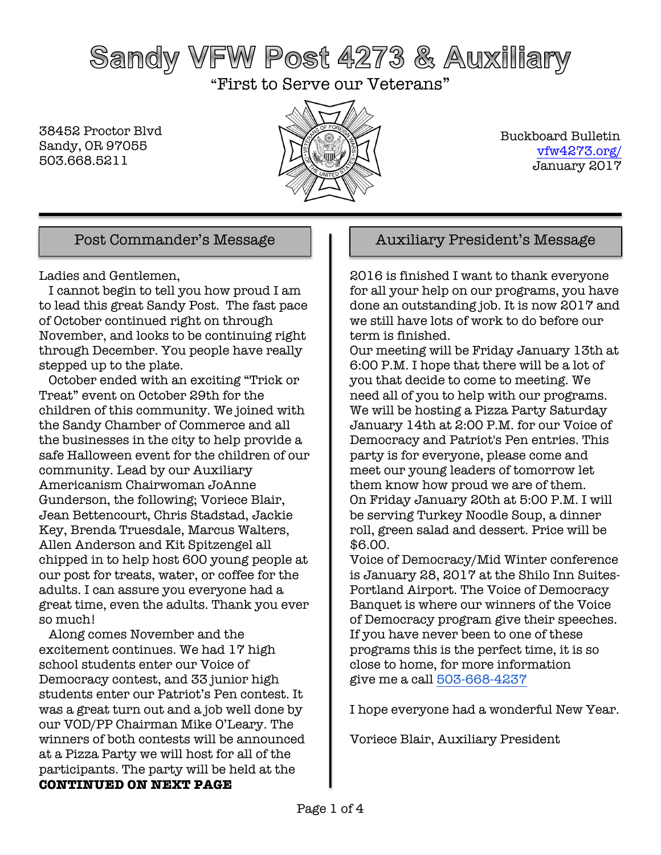# Sandy VFW Post 4273 & Auxiliary

"First to Serve our Veterans"

38452 Proctor Blvd Sandy, OR 97055 503.668.5211



 Buckboard Bulletin vfw4273.org/ January 2017

Ladies and Gentlemen,

 I cannot begin to tell you how proud I am to lead this great Sandy Post. The fast pace of October continued right on through November, and looks to be continuing right through December. You people have really stepped up to the plate.

 October ended with an exciting "Trick or Treat" event on October 29th for the children of this community. We joined with the Sandy Chamber of Commerce and all the businesses in the city to help provide a safe Halloween event for the children of our community. Lead by our Auxiliary Americanism Chairwoman JoAnne Gunderson, the following; Voriece Blair, Jean Bettencourt, Chris Stadstad, Jackie Key, Brenda Truesdale, Marcus Walters, Allen Anderson and Kit Spitzengel all chipped in to help host 600 young people at our post for treats, water, or coffee for the adults. I can assure you everyone had a great time, even the adults. Thank you ever so much!

 Along comes November and the excitement continues. We had 17 high school students enter our Voice of Democracy contest, and 33 junior high students enter our Patriot's Pen contest. It was a great turn out and a job well done by our VOD/PP Chairman Mike O'Leary. The winners of both contests will be announced at a Pizza Party we will host for all of the participants. The party will be held at the **CONTINUED ON NEXT PAGE**

### Post Commander's Message  $\parallel$  | Auxiliary President's Message

2016 is finished I want to thank everyone for all your help on our programs, you have done an outstanding job. It is now 2017 and we still have lots of work to do before our term is finished.

Our meeting will be Friday January 13th at 6:00 P.M. I hope that there will be a lot of you that decide to come to meeting. We need all of you to help with our programs. We will be hosting a Pizza Party Saturday January 14th at 2:00 P.M. for our Voice of Democracy and Patriot's Pen entries. This party is for everyone, please come and meet our young leaders of tomorrow let them know how proud we are of them. On Friday January 20th at 5:00 P.M. I will be serving Turkey Noodle Soup, a dinner roll, green salad and dessert. Price will be \$6.00.

Voice of Democracy/Mid Winter conference is January 28, 2017 at the Shilo Inn Suites-Portland Airport. The Voice of Democracy Banquet is where our winners of the Voice of Democracy program give their speeches. If you have never been to one of these programs this is the perfect time, it is so close to home, for more information give me a call 503-668-4237

I hope everyone had a wonderful New Year.

Voriece Blair, Auxiliary President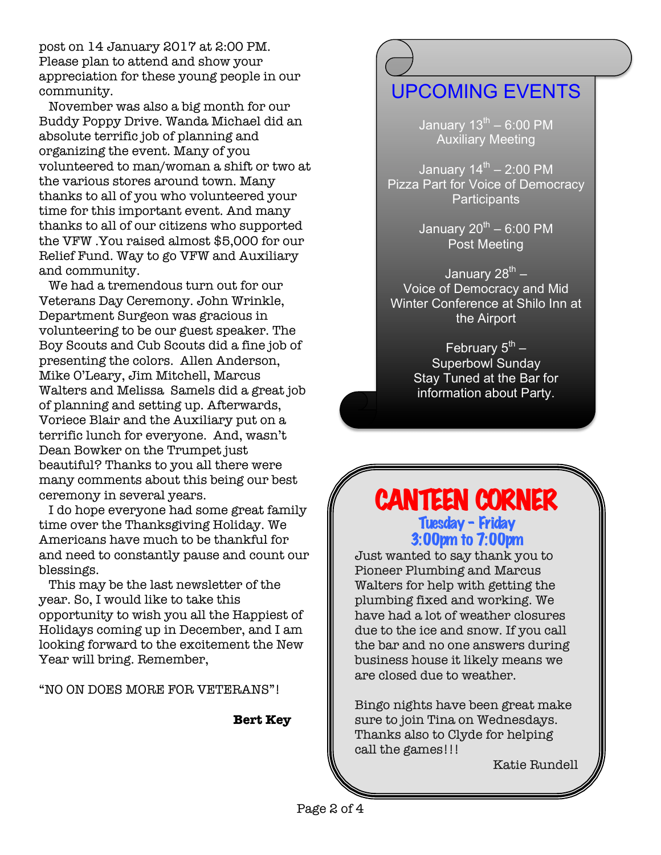post on 14 January 2017 at 2:00 PM. Please plan to attend and show your appreciation for these young people in our community.

 November was also a big month for our Buddy Poppy Drive. Wanda Michael did an absolute terrific job of planning and organizing the event. Many of you volunteered to man/woman a shift or two at the various stores around town. Many thanks to all of you who volunteered your time for this important event. And many thanks to all of our citizens who supported the VFW .You raised almost \$5,000 for our Relief Fund. Way to go VFW and Auxiliary and community.

 We had a tremendous turn out for our Veterans Day Ceremony. John Wrinkle, Department Surgeon was gracious in volunteering to be our guest speaker. The Boy Scouts and Cub Scouts did a fine job of presenting the colors. Allen Anderson, Mike O'Leary, Jim Mitchell, Marcus Walters and Melissa Samels did a great job of planning and setting up. Afterwards, Voriece Blair and the Auxiliary put on a terrific lunch for everyone. And, wasn't Dean Bowker on the Trumpet just beautiful? Thanks to you all there were many comments about this being our best ceremony in several years.

 I do hope everyone had some great family time over the Thanksgiving Holiday. We Americans have much to be thankful for and need to constantly pause and count our blessings.

 This may be the last newsletter of the year. So, I would like to take this opportunity to wish you all the Happiest of Holidays coming up in December, and I am looking forward to the excitement the New Year will bring. Remember,

"NO ON DOES MORE FOR VETERANS"!

#### **Bert Key**

### UPCOMING EVENTS

January  $13^{th}$  – 6:00 PM Auxiliary Meeting

January  $14^{\text{th}}$  – 2:00 PM Pizza Part for Voice of Democracy **Participants** 

> January  $20^{th}$  – 6:00 PM Post Meeting

January  $28^{th}$  – Voice of Democracy and Mid Winter Conference at Shilo Inn at the Airport

> February  $5^{th}$  – Superbowl Sunday Stay Tuned at the Bar for information about Party.

### CANTEEN CORNER Tuesday – Friday

3:00pm to 7:00pm

Just wanted to say thank you to Pioneer Plumbing and Marcus Walters for help with getting the plumbing fixed and working. We have had a lot of weather closures due to the ice and snow. If you call the bar and no one answers during business house it likely means we are closed due to weather.

Bingo nights have been great make sure to join Tina on Wednesdays. Thanks also to Clyde for helping call the games!!!

Katie Rundell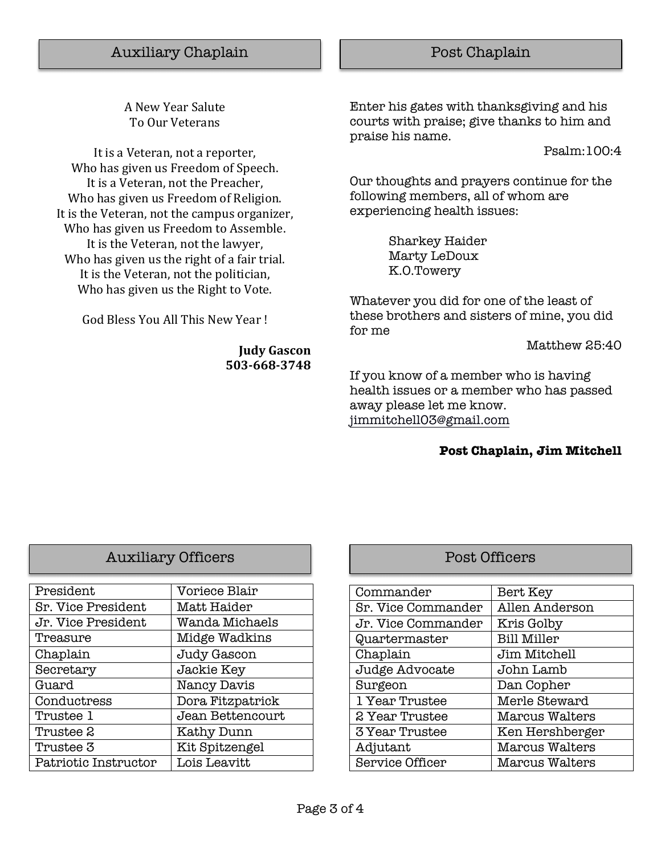A New Year Salute To Our Veterans

It is a Veteran, not a reporter, Who has given us Freedom of Speech. It is a Veteran, not the Preacher, Who has given us Freedom of Religion. It is the Veteran, not the campus organizer, Who has given us Freedom to Assemble. It is the Veteran, not the lawyer, Who has given us the right of a fair trial. It is the Veteran, not the politician, Who has given us the Right to Vote.

God Bless You All This New Year!

**Judy Gascon 503-668-3748**

Enter his gates with thanksgiving and his courts with praise; give thanks to him and praise his name.

Psalm:100:4

Our thoughts and prayers continue for the following members, all of whom are experiencing health issues:

> Sharkey Haider Marty LeDoux K.O.Towery

Whatever you did for one of the least of these brothers and sisters of mine, you did for me

Matthew 25:40

If you know of a member who is having health issues or a member who has passed away please let me know. jimmitchell03@gmail.com

#### **Post Chaplain, Jim Mitchell**

| <b>Auxiliary Officers</b> |  |
|---------------------------|--|
|---------------------------|--|

| President            | Voriece Blair    |
|----------------------|------------------|
| Sr. Vice President   | Matt Haider      |
| Jr. Vice President   | Wanda Michaels   |
| Treasure             | Midge Wadkins    |
| Chaplain             | Judy Gascon      |
| Secretary            | Jackie Key       |
| Guard                | Nancy Davis      |
| Conductress          | Dora Fitzpatrick |
| Trustee 1            | Jean Bettencourt |
| Trustee 2            | Kathy Dunn       |
| Trustee 3            | Kit Spitzengel   |
| Patriotic Instructor | Lois Leavitt     |

### Post Officers

| Commander              | Bert Key           |
|------------------------|--------------------|
| Sr. Vice Commander     | Allen Anderson     |
| Jr. Vice Commander     | Kris Golby         |
| Quartermaster          | <b>Bill Miller</b> |
| Chaplain               | Jim Mitchell       |
| Judge Advocate         | John Lamb          |
| Surgeon                | Dan Copher         |
| 1 Year Trustee         | Merle Steward      |
| 2 Year Trustee         | Marcus Walters     |
| 3 Year Trustee         | Ken Hershberger    |
| Adjutant               | Marcus Walters     |
| <b>Service Officer</b> | Marcus Walters     |